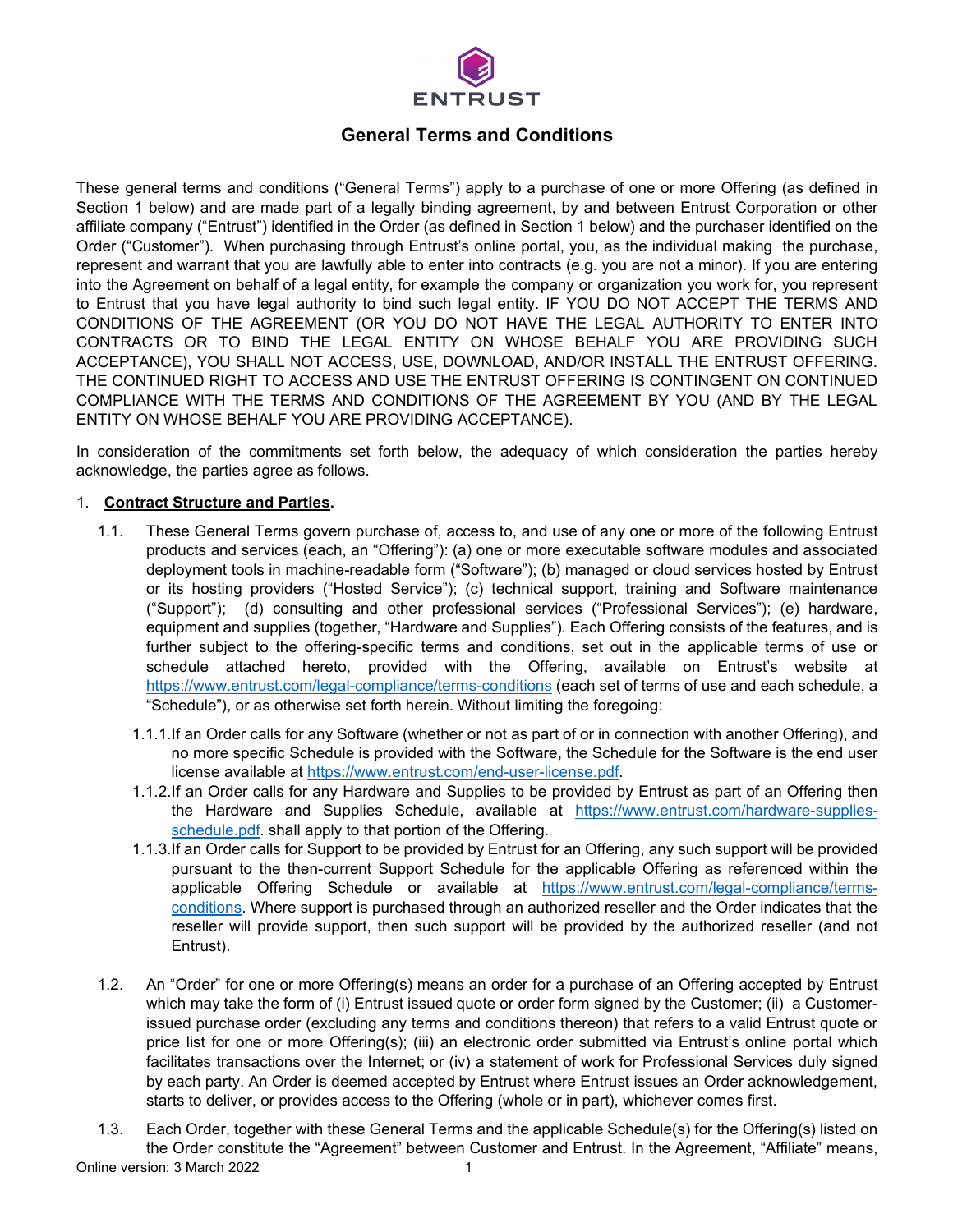

# **General Terms and Conditions**

These general terms and conditions ("General Terms") apply to a purchase of one or more Offering (as defined in Section 1 below) and are made part of a legally binding agreement, by and between Entrust Corporation or other affiliate company ("Entrust") identified in the Order (as defined in Section 1 below) and the purchaser identified on the Order ("Customer"). When purchasing through Entrust's online portal, you, as the individual making the purchase, represent and warrant that you are lawfully able to enter into contracts (e.g. you are not a minor). If you are entering into the Agreement on behalf of a legal entity, for example the company or organization you work for, you represent to Entrust that you have legal authority to bind such legal entity. IF YOU DO NOT ACCEPT THE TERMS AND CONDITIONS OF THE AGREEMENT (OR YOU DO NOT HAVE THE LEGAL AUTHORITY TO ENTER INTO CONTRACTS OR TO BIND THE LEGAL ENTITY ON WHOSE BEHALF YOU ARE PROVIDING SUCH ACCEPTANCE), YOU SHALL NOT ACCESS, USE, DOWNLOAD, AND/OR INSTALL THE ENTRUST OFFERING. THE CONTINUED RIGHT TO ACCESS AND USE THE ENTRUST OFFERING IS CONTINGENT ON CONTINUED COMPLIANCE WITH THE TERMS AND CONDITIONS OF THE AGREEMENT BY YOU (AND BY THE LEGAL ENTITY ON WHOSE BEHALF YOU ARE PROVIDING ACCEPTANCE).

In consideration of the commitments set forth below, the adequacy of which consideration the parties hereby acknowledge, the parties agree as follows.

# 1. **Contract Structure and Parties.**

- 1.1. These General Terms govern purchase of, access to, and use of any one or more of the following Entrust products and services (each, an "Offering"): (a) one or more executable software modules and associated deployment tools in machine-readable form ("Software"); (b) managed or cloud services hosted by Entrust or its hosting providers ("Hosted Service"); (c) technical support, training and Software maintenance ("Support"); (d) consulting and other professional services ("Professional Services"); (e) hardware, equipment and supplies (together, "Hardware and Supplies"). Each Offering consists of the features, and is further subject to the offering-specific terms and conditions, set out in the applicable terms of use or schedule attached hereto, provided with the Offering, available on Entrust's website at [https://w](https://)ww.entrust.com/legal-compliance/terms-conditions (each set of terms of use and each schedule, a "Schedule"), or as otherwise set forth herein. Without limiting the foregoing:
	- 1.1.1.If an Order calls for any Software (whether or not as part of or in connection with another Offering), and no more specific Schedule is provided with the Software, the Schedule for the Software is the end user license available at [https://www.entrust.com/end-user-license.pdf.](https://www.entrust.com/end-user-license.pdf)
	- 1.1.2.If an Order calls for any Hardware and Supplies to be provided by Entrust as part of an Offering then the Hardware and Supplies Schedule, available at [https://www.entrust.com/hardware-supplies](https://www.entrust.com/hardware-supplies-schedule.pdf)[schedule.pdf.](https://www.entrust.com/hardware-supplies-schedule.pdf) shall apply to that portion of the Offering.
	- 1.1.3.If an Order calls for Support to be provided by Entrust for an Offering, any such support will be provided pursuant to the then-current Support Schedule for the applicable Offering as referenced within the applicable Offering Schedule or available at [https://www.entrust.com/legal-compliance/terms](https://www.entrust.com/legal-compliance/terms-conditions)[conditions.](https://www.entrust.com/legal-compliance/terms-conditions) Where support is purchased through an authorized reseller and the Order indicates that the reseller will provide support, then such support will be provided by the authorized reseller (and not Entrust).
- 1.2. An "Order" for one or more Offering(s) means an order for a purchase of an Offering accepted by Entrust which may take the form of (i) Entrust issued quote or order form signed by the Customer; (ii) a Customerissued purchase order (excluding any terms and conditions thereon) that refers to a valid Entrust quote or price list for one or more Offering(s); (iii) an electronic order submitted via Entrust's online portal which facilitates transactions over the Internet; or (iv) a statement of work for Professional Services duly signed by each party. An Order is deemed accepted by Entrust where Entrust issues an Order acknowledgement, starts to deliver, or provides access to the Offering (whole or in part), whichever comes first.
- Online version: 3 March 2022 1 1.3. Each Order, together with these General Terms and the applicable Schedule(s) for the Offering(s) listed on the Order constitute the "Agreement" between Customer and Entrust. In the Agreement, "Affiliate" means,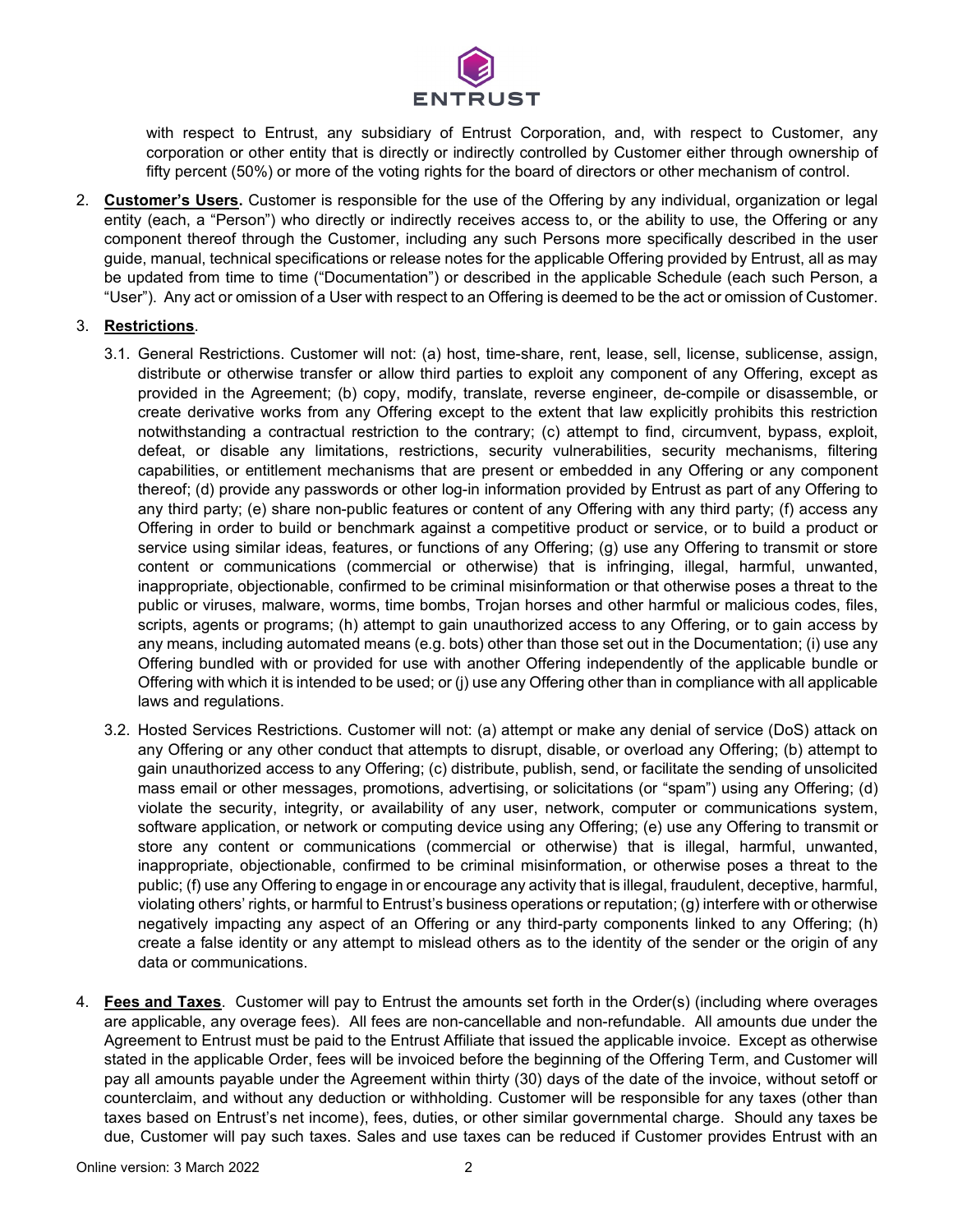

with respect to Entrust, any subsidiary of Entrust Corporation, and, with respect to Customer, any corporation or other entity that is directly or indirectly controlled by Customer either through ownership of fifty percent (50%) or more of the voting rights for the board of directors or other mechanism of control.

2. **Customer's Users.** Customer is responsible for the use of the Offering by any individual, organization or legal entity (each, a "Person") who directly or indirectly receives access to, or the ability to use, the Offering or any component thereof through the Customer, including any such Persons more specifically described in the user guide, manual, technical specifications or release notes for the applicable Offering provided by Entrust, all as may be updated from time to time ("Documentation") or described in the applicable Schedule (each such Person, a "User"). Any act or omission of a User with respect to an Offering is deemed to be the act or omission of Customer.

# 3. **Restrictions**.

- 3.1. General Restrictions. Customer will not: (a) host, time-share, rent, lease, sell, license, sublicense, assign, distribute or otherwise transfer or allow third parties to exploit any component of any Offering, except as provided in the Agreement; (b) copy, modify, translate, reverse engineer, de-compile or disassemble, or create derivative works from any Offering except to the extent that law explicitly prohibits this restriction notwithstanding a contractual restriction to the contrary; (c) attempt to find, circumvent, bypass, exploit, defeat, or disable any limitations, restrictions, security vulnerabilities, security mechanisms, filtering capabilities, or entitlement mechanisms that are present or embedded in any Offering or any component thereof; (d) provide any passwords or other log-in information provided by Entrust as part of any Offering to any third party; (e) share non-public features or content of any Offering with any third party; (f) access any Offering in order to build or benchmark against a competitive product or service, or to build a product or service using similar ideas, features, or functions of any Offering; (g) use any Offering to transmit or store content or communications (commercial or otherwise) that is infringing, illegal, harmful, unwanted, inappropriate, objectionable, confirmed to be criminal misinformation or that otherwise poses a threat to the public or viruses, malware, worms, time bombs, Trojan horses and other harmful or malicious codes, files, scripts, agents or programs; (h) attempt to gain unauthorized access to any Offering, or to gain access by any means, including automated means (e.g. bots) other than those set out in the Documentation; (i) use any Offering bundled with or provided for use with another Offering independently of the applicable bundle or Offering with which it is intended to be used; or (j) use any Offering other than in compliance with all applicable laws and regulations.
- 3.2. Hosted Services Restrictions. Customer will not: (a) attempt or make any denial of service (DoS) attack on any Offering or any other conduct that attempts to disrupt, disable, or overload any Offering; (b) attempt to gain unauthorized access to any Offering; (c) distribute, publish, send, or facilitate the sending of unsolicited mass email or other messages, promotions, advertising, or solicitations (or "spam") using any Offering; (d) violate the security, integrity, or availability of any user, network, computer or communications system, software application, or network or computing device using any Offering; (e) use any Offering to transmit or store any content or communications (commercial or otherwise) that is illegal, harmful, unwanted, inappropriate, objectionable, confirmed to be criminal misinformation, or otherwise poses a threat to the public; (f) use any Offering to engage in or encourage any activity that is illegal, fraudulent, deceptive, harmful, violating others' rights, or harmful to Entrust's business operations or reputation; (g) interfere with or otherwise negatively impacting any aspect of an Offering or any third-party components linked to any Offering; (h) create a false identity or any attempt to mislead others as to the identity of the sender or the origin of any data or communications.
- 4. **Fees and Taxes**. Customer will pay to Entrust the amounts set forth in the Order(s) (including where overages are applicable, any overage fees). All fees are non-cancellable and non-refundable. All amounts due under the Agreement to Entrust must be paid to the Entrust Affiliate that issued the applicable invoice. Except as otherwise stated in the applicable Order, fees will be invoiced before the beginning of the Offering Term, and Customer will pay all amounts payable under the Agreement within thirty (30) days of the date of the invoice, without setoff or counterclaim, and without any deduction or withholding. Customer will be responsible for any taxes (other than taxes based on Entrust's net income), fees, duties, or other similar governmental charge. Should any taxes be due, Customer will pay such taxes. Sales and use taxes can be reduced if Customer provides Entrust with an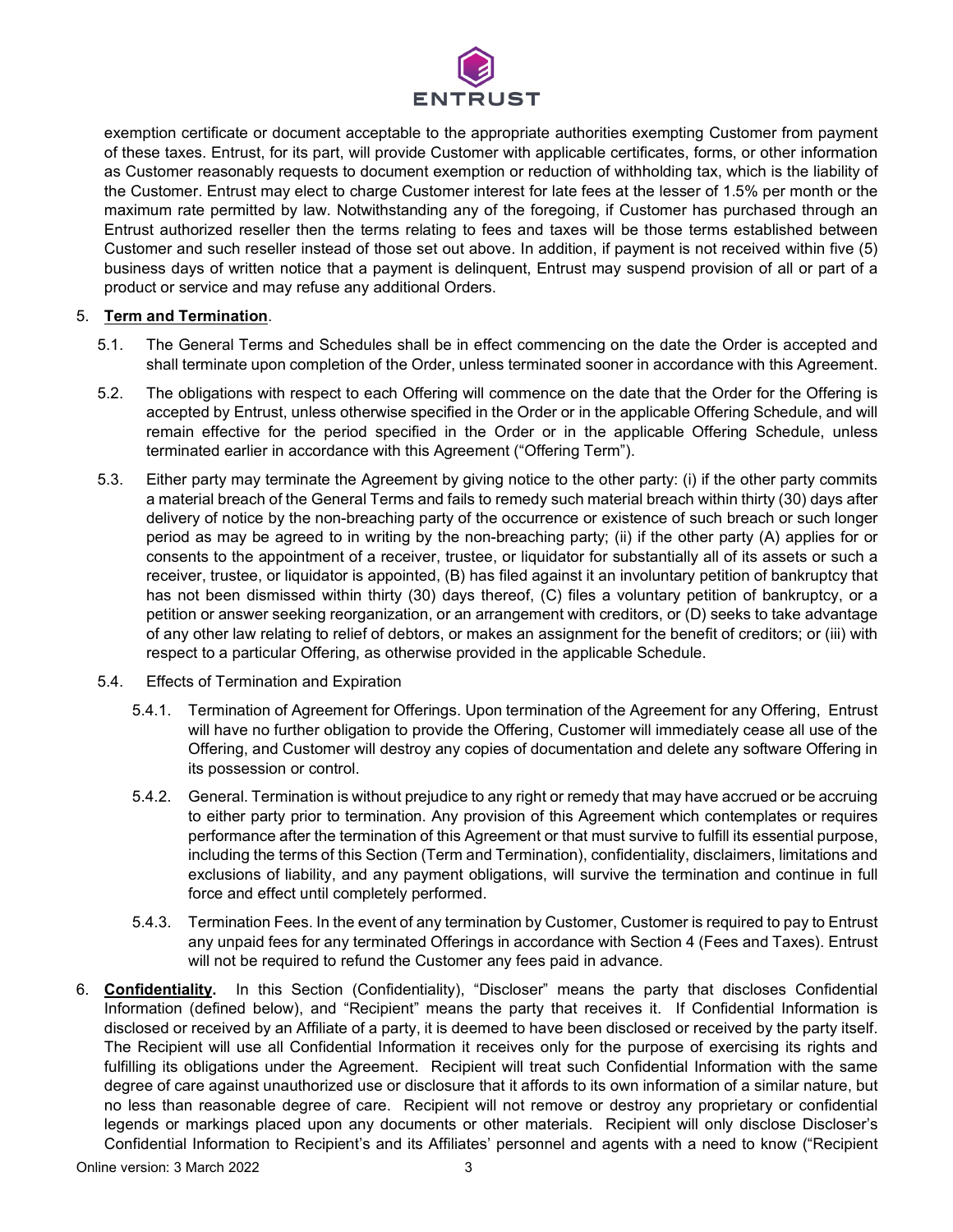

exemption certificate or document acceptable to the appropriate authorities exempting Customer from payment of these taxes. Entrust, for its part, will provide Customer with applicable certificates, forms, or other information as Customer reasonably requests to document exemption or reduction of withholding tax, which is the liability of the Customer. Entrust may elect to charge Customer interest for late fees at the lesser of 1.5% per month or the maximum rate permitted by law. Notwithstanding any of the foregoing, if Customer has purchased through an Entrust authorized reseller then the terms relating to fees and taxes will be those terms established between Customer and such reseller instead of those set out above. In addition, if payment is not received within five (5) business days of written notice that a payment is delinquent, Entrust may suspend provision of all or part of a product or service and may refuse any additional Orders.

# 5. **Term and Termination**.

- 5.1. The General Terms and Schedules shall be in effect commencing on the date the Order is accepted and shall terminate upon completion of the Order, unless terminated sooner in accordance with this Agreement.
- 5.2. The obligations with respect to each Offering will commence on the date that the Order for the Offering is accepted by Entrust, unless otherwise specified in the Order or in the applicable Offering Schedule, and will remain effective for the period specified in the Order or in the applicable Offering Schedule, unless terminated earlier in accordance with this Agreement ("Offering Term").
- 5.3. Either party may terminate the Agreement by giving notice to the other party: (i) if the other party commits a material breach of the General Terms and fails to remedy such material breach within thirty (30) days after delivery of notice by the non-breaching party of the occurrence or existence of such breach or such longer period as may be agreed to in writing by the non-breaching party; (ii) if the other party (A) applies for or consents to the appointment of a receiver, trustee, or liquidator for substantially all of its assets or such a receiver, trustee, or liquidator is appointed, (B) has filed against it an involuntary petition of bankruptcy that has not been dismissed within thirty (30) days thereof, (C) files a voluntary petition of bankruptcy, or a petition or answer seeking reorganization, or an arrangement with creditors, or (D) seeks to take advantage of any other law relating to relief of debtors, or makes an assignment for the benefit of creditors; or (iii) with respect to a particular Offering, as otherwise provided in the applicable Schedule.
- 5.4. Effects of Termination and Expiration
	- 5.4.1. Termination of Agreement for Offerings. Upon termination of the Agreement for any Offering, Entrust will have no further obligation to provide the Offering, Customer will immediately cease all use of the Offering, and Customer will destroy any copies of documentation and delete any software Offering in its possession or control.
	- 5.4.2. General. Termination is without prejudice to any right or remedy that may have accrued or be accruing to either party prior to termination. Any provision of this Agreement which contemplates or requires performance after the termination of this Agreement or that must survive to fulfill its essential purpose, including the terms of this Section (Term and Termination), confidentiality, disclaimers, limitations and exclusions of liability, and any payment obligations, will survive the termination and continue in full force and effect until completely performed.
	- 5.4.3. Termination Fees. In the event of any termination by Customer, Customer is required to pay to Entrust any unpaid fees for any terminated Offerings in accordance with Section 4 (Fees and Taxes). Entrust will not be required to refund the Customer any fees paid in advance.
- 6. **Confidentiality.** In this Section (Confidentiality), "Discloser" means the party that discloses Confidential Information (defined below), and "Recipient" means the party that receives it. If Confidential Information is disclosed or received by an Affiliate of a party, it is deemed to have been disclosed or received by the party itself. The Recipient will use all Confidential Information it receives only for the purpose of exercising its rights and fulfilling its obligations under the Agreement. Recipient will treat such Confidential Information with the same degree of care against unauthorized use or disclosure that it affords to its own information of a similar nature, but no less than reasonable degree of care. Recipient will not remove or destroy any proprietary or confidential legends or markings placed upon any documents or other materials. Recipient will only disclose Discloser's Confidential Information to Recipient's and its Affiliates' personnel and agents with a need to know ("Recipient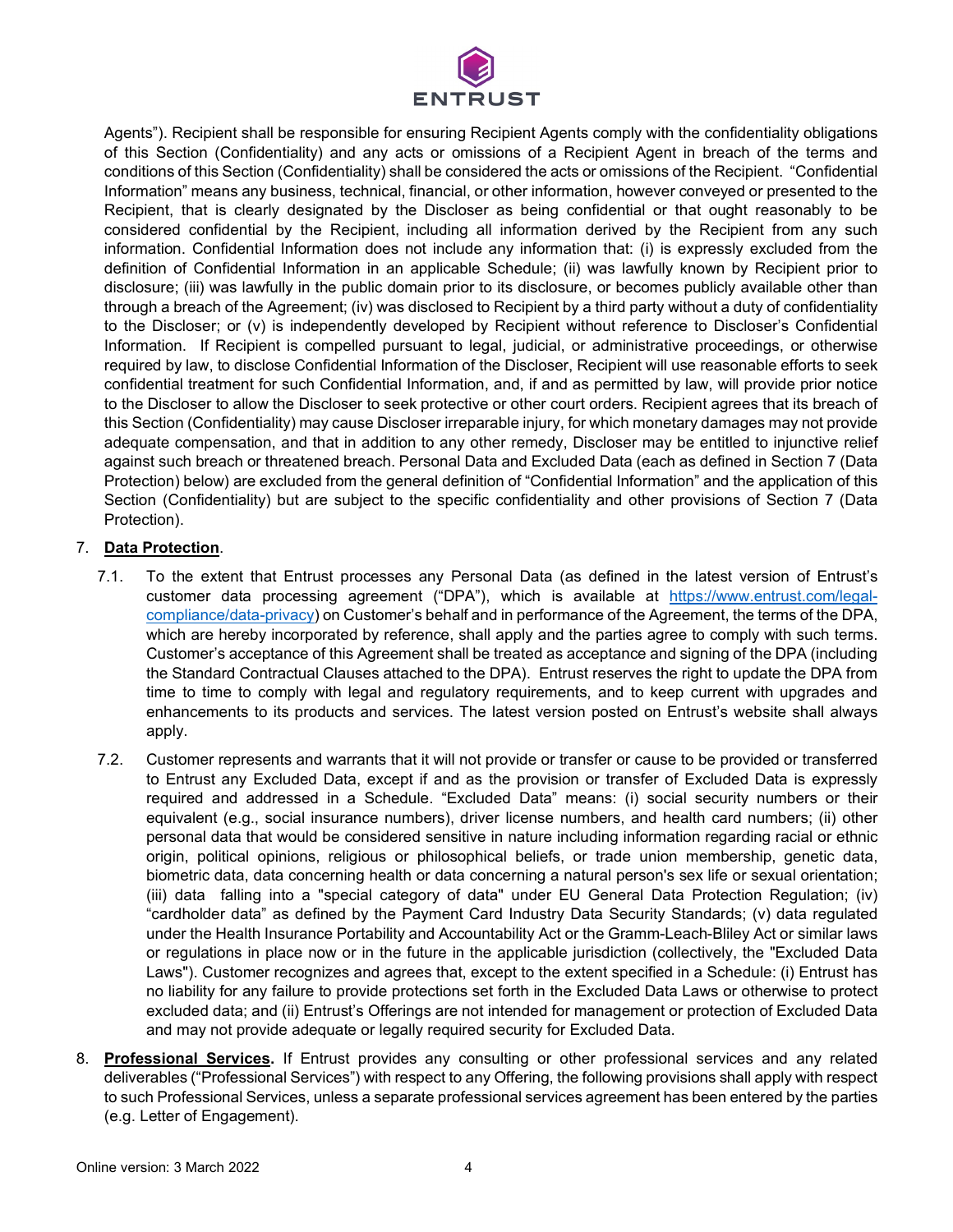

Agents"). Recipient shall be responsible for ensuring Recipient Agents comply with the confidentiality obligations of this Section (Confidentiality) and any acts or omissions of a Recipient Agent in breach of the terms and conditions of this Section (Confidentiality) shall be considered the acts or omissions of the Recipient. "Confidential Information" means any business, technical, financial, or other information, however conveyed or presented to the Recipient, that is clearly designated by the Discloser as being confidential or that ought reasonably to be considered confidential by the Recipient, including all information derived by the Recipient from any such information. Confidential Information does not include any information that: (i) is expressly excluded from the definition of Confidential Information in an applicable Schedule; (ii) was lawfully known by Recipient prior to disclosure; (iii) was lawfully in the public domain prior to its disclosure, or becomes publicly available other than through a breach of the Agreement; (iv) was disclosed to Recipient by a third party without a duty of confidentiality to the Discloser; or (v) is independently developed by Recipient without reference to Discloser's Confidential Information. If Recipient is compelled pursuant to legal, judicial, or administrative proceedings, or otherwise required by law, to disclose Confidential Information of the Discloser, Recipient will use reasonable efforts to seek confidential treatment for such Confidential Information, and, if and as permitted by law, will provide prior notice to the Discloser to allow the Discloser to seek protective or other court orders. Recipient agrees that its breach of this Section (Confidentiality) may cause Discloser irreparable injury, for which monetary damages may not provide adequate compensation, and that in addition to any other remedy, Discloser may be entitled to injunctive relief against such breach or threatened breach. Personal Data and Excluded Data (each as defined in Section 7 (Data Protection) below) are excluded from the general definition of "Confidential Information" and the application of this Section (Confidentiality) but are subject to the specific confidentiality and other provisions of Section 7 (Data Protection).

# 7. **Data Protection**.

- 7.1. To the extent that Entrust processes any Personal Data (as defined in the latest version of Entrust's customer data processing agreement ("DPA"), which is available at [https://www.entrust.com/legal](https://www.entrust.com/legal-compliance/data-privacy)[compliance/data-privacy\)](https://www.entrust.com/legal-compliance/data-privacy) on Customer's behalf and in performance of the Agreement, the terms of the DPA, which are hereby incorporated by reference, shall apply and the parties agree to comply with such terms. Customer's acceptance of this Agreement shall be treated as acceptance and signing of the DPA (including the Standard Contractual Clauses attached to the DPA). Entrust reserves the right to update the DPA from time to time to comply with legal and regulatory requirements, and to keep current with upgrades and enhancements to its products and services. The latest version posted on Entrust's website shall always apply.
- 7.2. Customer represents and warrants that it will not provide or transfer or cause to be provided or transferred to Entrust any Excluded Data, except if and as the provision or transfer of Excluded Data is expressly required and addressed in a Schedule. "Excluded Data" means: (i) social security numbers or their equivalent (e.g., social insurance numbers), driver license numbers, and health card numbers; (ii) other personal data that would be considered sensitive in nature including information regarding racial or ethnic origin, political opinions, religious or philosophical beliefs, or trade union membership, genetic data, biometric data, data concerning health or data concerning a natural person's sex life or sexual orientation; (iii) data falling into a "special category of data" under EU General Data Protection Regulation; (iv) "cardholder data" as defined by the Payment Card Industry Data Security Standards; (v) data regulated under the Health Insurance Portability and Accountability Act or the Gramm-Leach-Bliley Act or similar laws or regulations in place now or in the future in the applicable jurisdiction (collectively, the "Excluded Data Laws"). Customer recognizes and agrees that, except to the extent specified in a Schedule: (i) Entrust has no liability for any failure to provide protections set forth in the Excluded Data Laws or otherwise to protect excluded data; and (ii) Entrust's Offerings are not intended for management or protection of Excluded Data and may not provide adequate or legally required security for Excluded Data.
- 8. **Professional Services.** If Entrust provides any consulting or other professional services and any related deliverables ("Professional Services") with respect to any Offering, the following provisions shall apply with respect to such Professional Services, unless a separate professional services agreement has been entered by the parties (e.g. Letter of Engagement).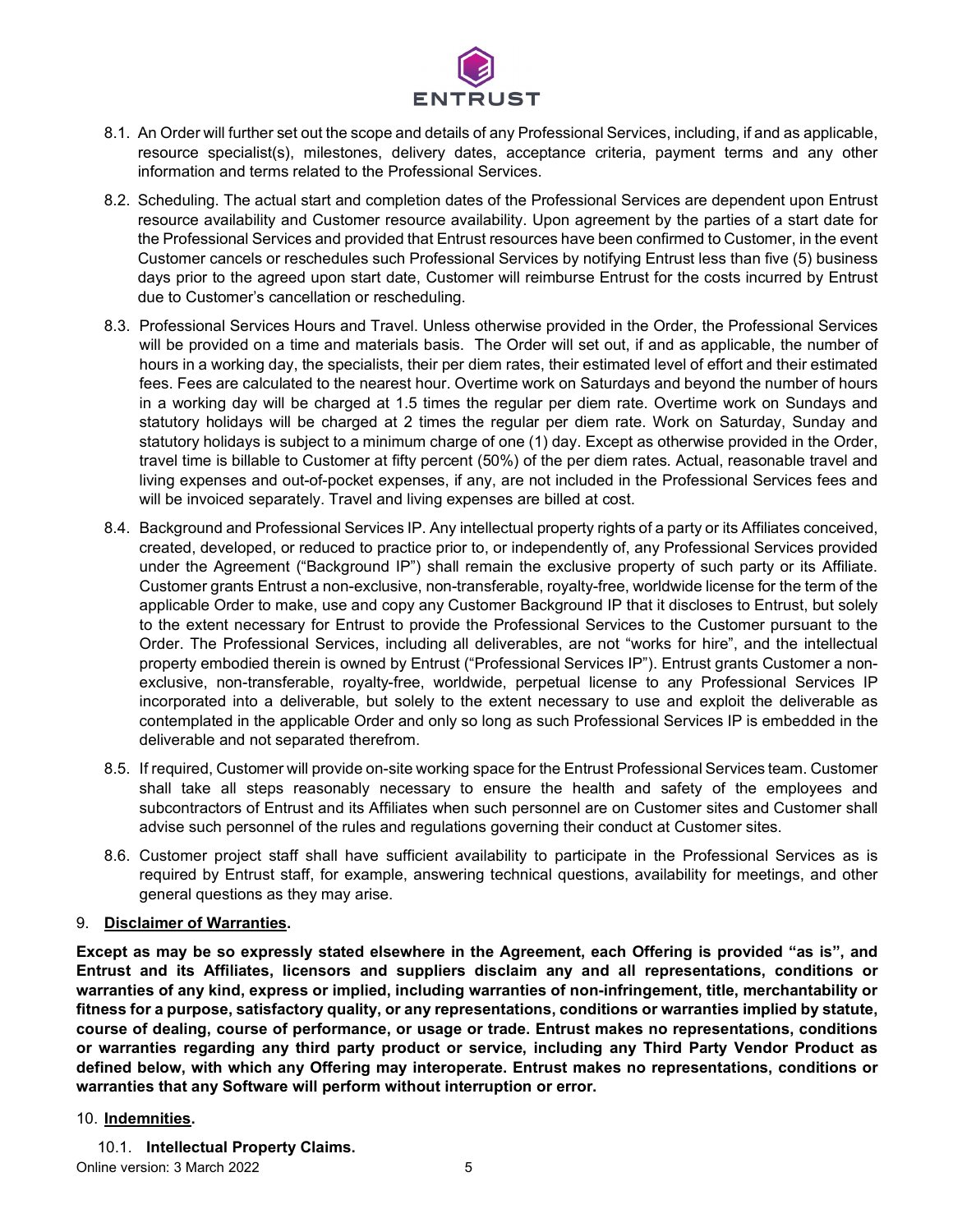

- 8.1. An Order will further set out the scope and details of any Professional Services, including, if and as applicable, resource specialist(s), milestones, delivery dates, acceptance criteria, payment terms and any other information and terms related to the Professional Services.
- 8.2. Scheduling. The actual start and completion dates of the Professional Services are dependent upon Entrust resource availability and Customer resource availability. Upon agreement by the parties of a start date for the Professional Services and provided that Entrust resources have been confirmed to Customer, in the event Customer cancels or reschedules such Professional Services by notifying Entrust less than five (5) business days prior to the agreed upon start date, Customer will reimburse Entrust for the costs incurred by Entrust due to Customer's cancellation or rescheduling.
- 8.3. Professional Services Hours and Travel. Unless otherwise provided in the Order, the Professional Services will be provided on a time and materials basis. The Order will set out, if and as applicable, the number of hours in a working day, the specialists, their per diem rates, their estimated level of effort and their estimated fees. Fees are calculated to the nearest hour. Overtime work on Saturdays and beyond the number of hours in a working day will be charged at 1.5 times the regular per diem rate. Overtime work on Sundays and statutory holidays will be charged at 2 times the regular per diem rate. Work on Saturday, Sunday and statutory holidays is subject to a minimum charge of one (1) day. Except as otherwise provided in the Order, travel time is billable to Customer at fifty percent (50%) of the per diem rates. Actual, reasonable travel and living expenses and out-of-pocket expenses, if any, are not included in the Professional Services fees and will be invoiced separately. Travel and living expenses are billed at cost.
- 8.4. Background and Professional Services IP. Any intellectual property rights of a party or its Affiliates conceived, created, developed, or reduced to practice prior to, or independently of, any Professional Services provided under the Agreement ("Background IP") shall remain the exclusive property of such party or its Affiliate. Customer grants Entrust a non-exclusive, non-transferable, royalty-free, worldwide license for the term of the applicable Order to make, use and copy any Customer Background IP that it discloses to Entrust, but solely to the extent necessary for Entrust to provide the Professional Services to the Customer pursuant to the Order. The Professional Services, including all deliverables, are not "works for hire", and the intellectual property embodied therein is owned by Entrust ("Professional Services IP"). Entrust grants Customer a nonexclusive, non-transferable, royalty-free, worldwide, perpetual license to any Professional Services IP incorporated into a deliverable, but solely to the extent necessary to use and exploit the deliverable as contemplated in the applicable Order and only so long as such Professional Services IP is embedded in the deliverable and not separated therefrom.
- 8.5. If required, Customer will provide on-site working space for the Entrust Professional Services team. Customer shall take all steps reasonably necessary to ensure the health and safety of the employees and subcontractors of Entrust and its Affiliates when such personnel are on Customer sites and Customer shall advise such personnel of the rules and regulations governing their conduct at Customer sites.
- 8.6. Customer project staff shall have sufficient availability to participate in the Professional Services as is required by Entrust staff, for example, answering technical questions, availability for meetings, and other general questions as they may arise.

### 9. **Disclaimer of Warranties.**

**Except as may be so expressly stated elsewhere in the Agreement, each Offering is provided "as is", and Entrust and its Affiliates, licensors and suppliers disclaim any and all representations, conditions or warranties of any kind, express or implied, including warranties of non-infringement, title, merchantability or fitness for a purpose, satisfactory quality, or any representations, conditions or warranties implied by statute, course of dealing, course of performance, or usage or trade. Entrust makes no representations, conditions or warranties regarding any third party product or service, including any Third Party Vendor Product as defined below, with which any Offering may interoperate. Entrust makes no representations, conditions or warranties that any Software will perform without interruption or error.**

### 10. **Indemnities.**

10.1. **Intellectual Property Claims.**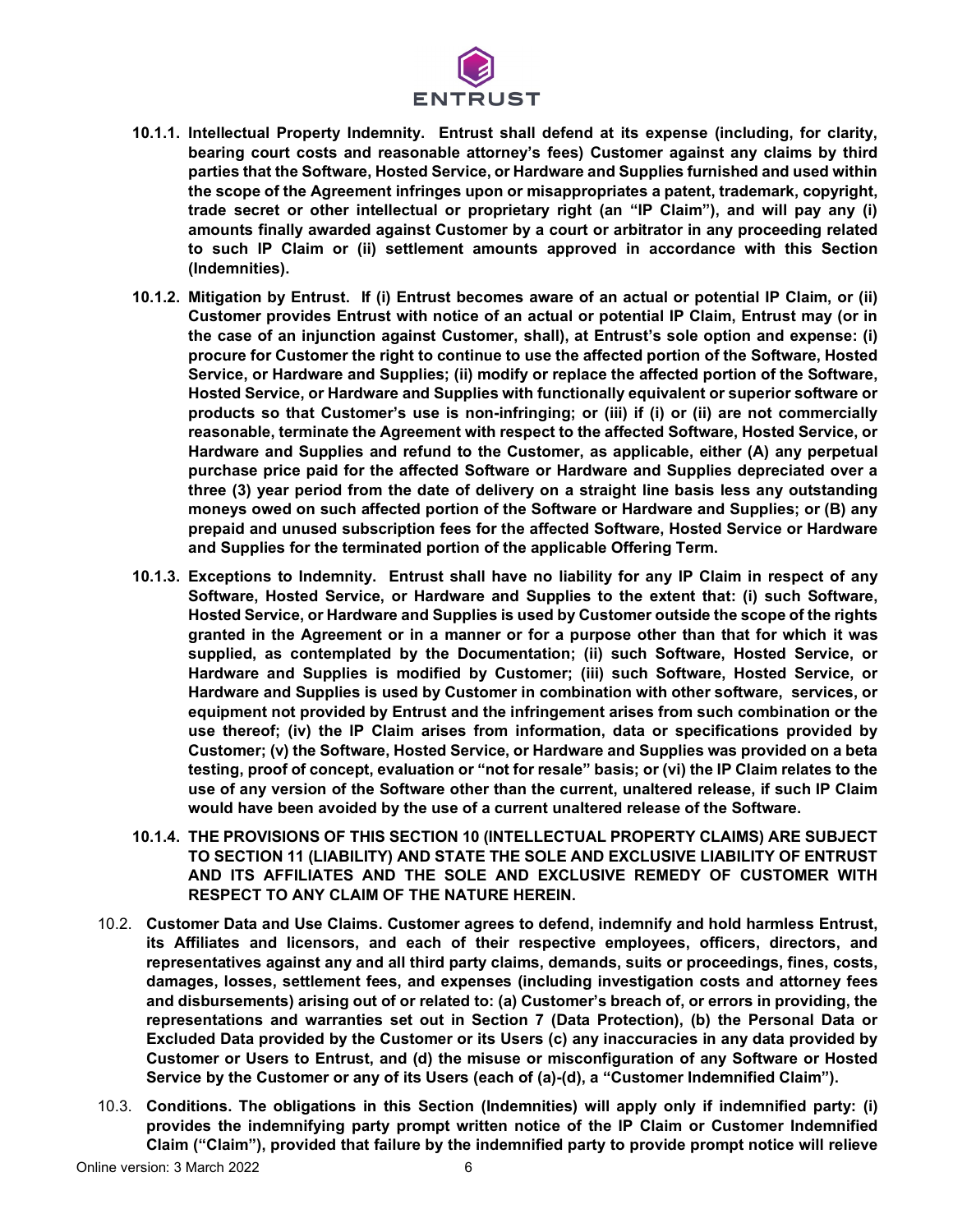

- **10.1.1. Intellectual Property Indemnity. Entrust shall defend at its expense (including, for clarity, bearing court costs and reasonable attorney's fees) Customer against any claims by third parties that the Software, Hosted Service, or Hardware and Supplies furnished and used within the scope of the Agreement infringes upon or misappropriates a patent, trademark, copyright, trade secret or other intellectual or proprietary right (an "IP Claim"), and will pay any (i) amounts finally awarded against Customer by a court or arbitrator in any proceeding related to such IP Claim or (ii) settlement amounts approved in accordance with this Section (Indemnities).**
- **10.1.2. Mitigation by Entrust. If (i) Entrust becomes aware of an actual or potential IP Claim, or (ii) Customer provides Entrust with notice of an actual or potential IP Claim, Entrust may (or in the case of an injunction against Customer, shall), at Entrust's sole option and expense: (i) procure for Customer the right to continue to use the affected portion of the Software, Hosted Service, or Hardware and Supplies; (ii) modify or replace the affected portion of the Software, Hosted Service, or Hardware and Supplies with functionally equivalent or superior software or products so that Customer's use is non-infringing; or (iii) if (i) or (ii) are not commercially reasonable, terminate the Agreement with respect to the affected Software, Hosted Service, or Hardware and Supplies and refund to the Customer, as applicable, either (A) any perpetual purchase price paid for the affected Software or Hardware and Supplies depreciated over a three (3) year period from the date of delivery on a straight line basis less any outstanding moneys owed on such affected portion of the Software or Hardware and Supplies; or (B) any prepaid and unused subscription fees for the affected Software, Hosted Service or Hardware and Supplies for the terminated portion of the applicable Offering Term.**
- **10.1.3. Exceptions to Indemnity. Entrust shall have no liability for any IP Claim in respect of any Software, Hosted Service, or Hardware and Supplies to the extent that: (i) such Software, Hosted Service, or Hardware and Supplies is used by Customer outside the scope of the rights granted in the Agreement or in a manner or for a purpose other than that for which it was supplied, as contemplated by the Documentation; (ii) such Software, Hosted Service, or Hardware and Supplies is modified by Customer; (iii) such Software, Hosted Service, or Hardware and Supplies is used by Customer in combination with other software, services, or equipment not provided by Entrust and the infringement arises from such combination or the use thereof; (iv) the IP Claim arises from information, data or specifications provided by Customer; (v) the Software, Hosted Service, or Hardware and Supplies was provided on a beta testing, proof of concept, evaluation or "not for resale" basis; or (vi) the IP Claim relates to the use of any version of the Software other than the current, unaltered release, if such IP Claim would have been avoided by the use of a current unaltered release of the Software.**
- **10.1.4. THE PROVISIONS OF THIS SECTION 10 (INTELLECTUAL PROPERTY CLAIMS) ARE SUBJECT TO SECTION 11 (LIABILITY) AND STATE THE SOLE AND EXCLUSIVE LIABILITY OF ENTRUST AND ITS AFFILIATES AND THE SOLE AND EXCLUSIVE REMEDY OF CUSTOMER WITH RESPECT TO ANY CLAIM OF THE NATURE HEREIN.**
- 10.2. **Customer Data and Use Claims. Customer agrees to defend, indemnify and hold harmless Entrust, its Affiliates and licensors, and each of their respective employees, officers, directors, and representatives against any and all third party claims, demands, suits or proceedings, fines, costs, damages, losses, settlement fees, and expenses (including investigation costs and attorney fees and disbursements) arising out of or related to: (a) Customer's breach of, or errors in providing, the representations and warranties set out in Section 7 (Data Protection), (b) the Personal Data or Excluded Data provided by the Customer or its Users (c) any inaccuracies in any data provided by Customer or Users to Entrust, and (d) the misuse or misconfiguration of any Software or Hosted Service by the Customer or any of its Users (each of (a)-(d), a "Customer Indemnified Claim").**
- 10.3. **Conditions. The obligations in this Section (Indemnities) will apply only if indemnified party: (i) provides the indemnifying party prompt written notice of the IP Claim or Customer Indemnified Claim ("Claim"), provided that failure by the indemnified party to provide prompt notice will relieve**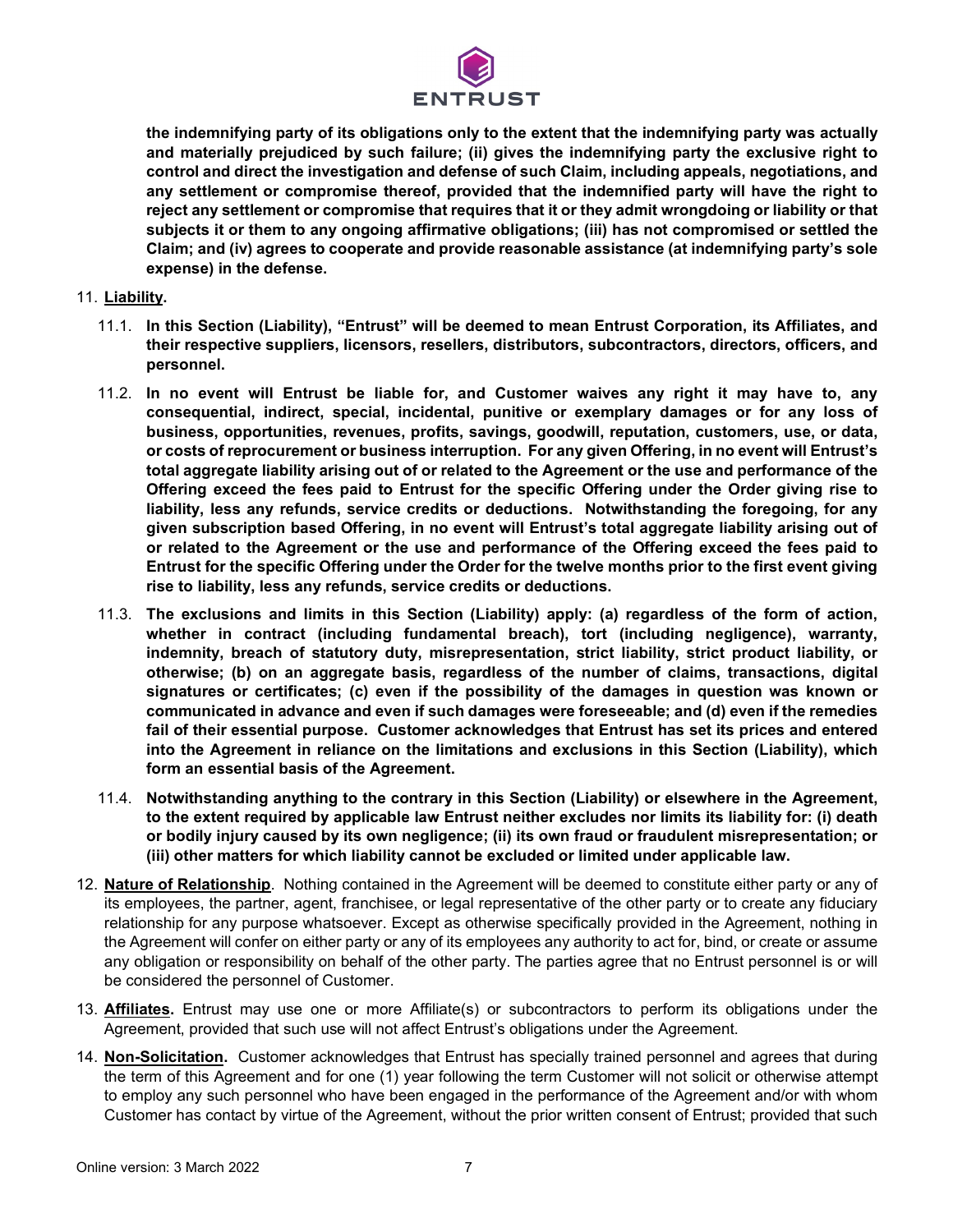

**the indemnifying party of its obligations only to the extent that the indemnifying party was actually and materially prejudiced by such failure; (ii) gives the indemnifying party the exclusive right to control and direct the investigation and defense of such Claim, including appeals, negotiations, and any settlement or compromise thereof, provided that the indemnified party will have the right to reject any settlement or compromise that requires that it or they admit wrongdoing or liability or that subjects it or them to any ongoing affirmative obligations; (iii) has not compromised or settled the Claim; and (iv) agrees to cooperate and provide reasonable assistance (at indemnifying party's sole expense) in the defense.**

### 11. **Liability.**

- 11.1. **In this Section (Liability), "Entrust" will be deemed to mean Entrust Corporation, its Affiliates, and their respective suppliers, licensors, resellers, distributors, subcontractors, directors, officers, and personnel.**
- 11.2. **In no event will Entrust be liable for, and Customer waives any right it may have to, any consequential, indirect, special, incidental, punitive or exemplary damages or for any loss of business, opportunities, revenues, profits, savings, goodwill, reputation, customers, use, or data, or costs of reprocurement or business interruption. For any given Offering, in no event will Entrust's total aggregate liability arising out of or related to the Agreement or the use and performance of the Offering exceed the fees paid to Entrust for the specific Offering under the Order giving rise to liability, less any refunds, service credits or deductions. Notwithstanding the foregoing, for any given subscription based Offering, in no event will Entrust's total aggregate liability arising out of or related to the Agreement or the use and performance of the Offering exceed the fees paid to Entrust for the specific Offering under the Order for the twelve months prior to the first event giving rise to liability, less any refunds, service credits or deductions.**
- 11.3. **The exclusions and limits in this Section (Liability) apply: (a) regardless of the form of action, whether in contract (including fundamental breach), tort (including negligence), warranty, indemnity, breach of statutory duty, misrepresentation, strict liability, strict product liability, or otherwise; (b) on an aggregate basis, regardless of the number of claims, transactions, digital signatures or certificates; (c) even if the possibility of the damages in question was known or communicated in advance and even if such damages were foreseeable; and (d) even if the remedies fail of their essential purpose. Customer acknowledges that Entrust has set its prices and entered into the Agreement in reliance on the limitations and exclusions in this Section (Liability), which form an essential basis of the Agreement.**
- 11.4. **Notwithstanding anything to the contrary in this Section (Liability) or elsewhere in the Agreement, to the extent required by applicable law Entrust neither excludes nor limits its liability for: (i) death or bodily injury caused by its own negligence; (ii) its own fraud or fraudulent misrepresentation; or (iii) other matters for which liability cannot be excluded or limited under applicable law.**
- 12. **Nature of Relationship**. Nothing contained in the Agreement will be deemed to constitute either party or any of its employees, the partner, agent, franchisee, or legal representative of the other party or to create any fiduciary relationship for any purpose whatsoever. Except as otherwise specifically provided in the Agreement, nothing in the Agreement will confer on either party or any of its employees any authority to act for, bind, or create or assume any obligation or responsibility on behalf of the other party. The parties agree that no Entrust personnel is or will be considered the personnel of Customer.
- 13. **Affiliates.** Entrust may use one or more Affiliate(s) or subcontractors to perform its obligations under the Agreement, provided that such use will not affect Entrust's obligations under the Agreement.
- 14. **Non-Solicitation.** Customer acknowledges that Entrust has specially trained personnel and agrees that during the term of this Agreement and for one (1) year following the term Customer will not solicit or otherwise attempt to employ any such personnel who have been engaged in the performance of the Agreement and/or with whom Customer has contact by virtue of the Agreement, without the prior written consent of Entrust; provided that such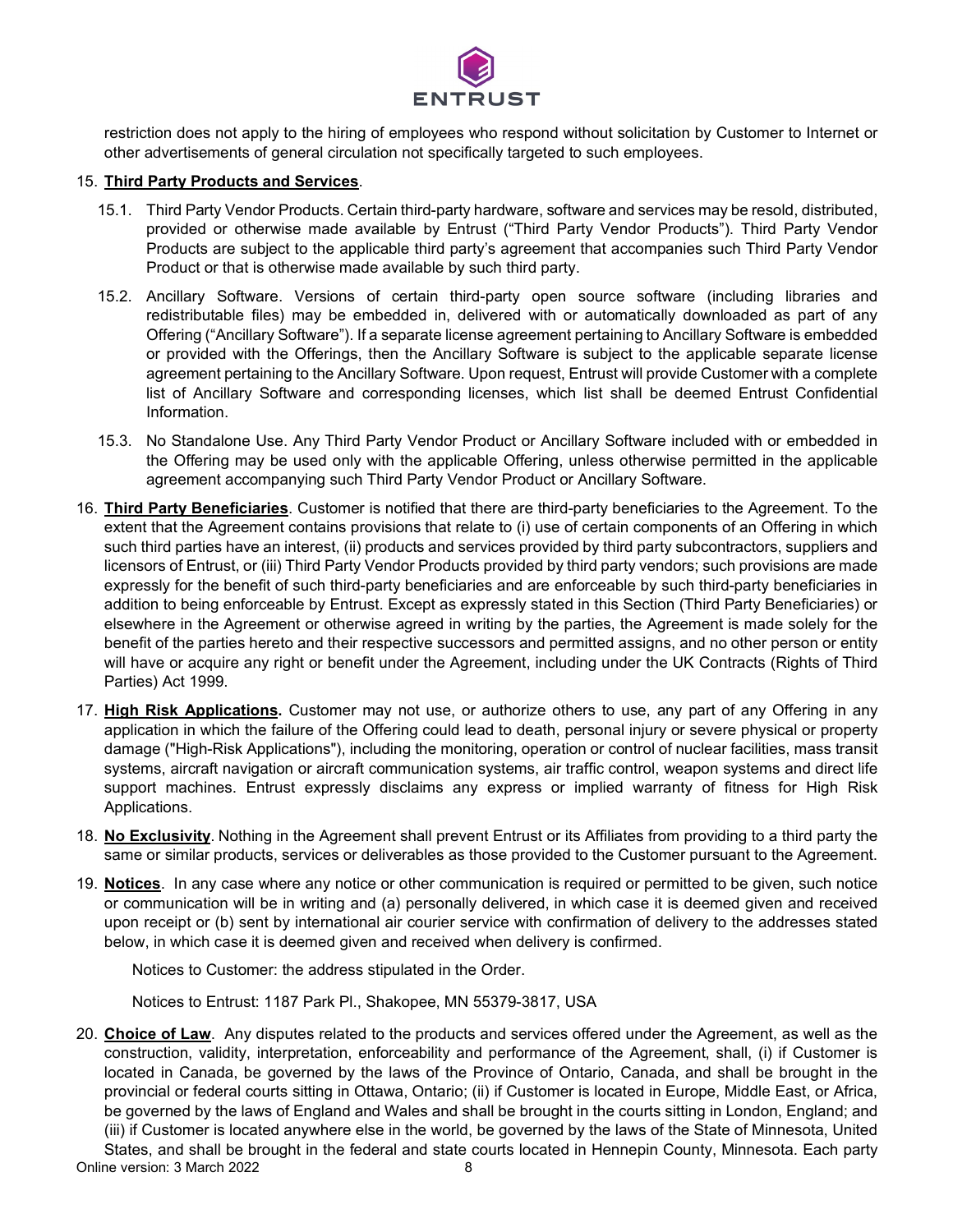

restriction does not apply to the hiring of employees who respond without solicitation by Customer to Internet or other advertisements of general circulation not specifically targeted to such employees.

### 15. **Third Party Products and Services**.

- 15.1. Third Party Vendor Products. Certain third-party hardware, software and services may be resold, distributed, provided or otherwise made available by Entrust ("Third Party Vendor Products"). Third Party Vendor Products are subject to the applicable third party's agreement that accompanies such Third Party Vendor Product or that is otherwise made available by such third party.
- 15.2. Ancillary Software. Versions of certain third-party open source software (including libraries and redistributable files) may be embedded in, delivered with or automatically downloaded as part of any Offering ("Ancillary Software"). If a separate license agreement pertaining to Ancillary Software is embedded or provided with the Offerings, then the Ancillary Software is subject to the applicable separate license agreement pertaining to the Ancillary Software. Upon request, Entrust will provide Customer with a complete list of Ancillary Software and corresponding licenses, which list shall be deemed Entrust Confidential Information.
- 15.3. No Standalone Use. Any Third Party Vendor Product or Ancillary Software included with or embedded in the Offering may be used only with the applicable Offering, unless otherwise permitted in the applicable agreement accompanying such Third Party Vendor Product or Ancillary Software.
- 16. **Third Party Beneficiaries**. Customer is notified that there are third-party beneficiaries to the Agreement. To the extent that the Agreement contains provisions that relate to (i) use of certain components of an Offering in which such third parties have an interest, (ii) products and services provided by third party subcontractors, suppliers and licensors of Entrust, or (iii) Third Party Vendor Products provided by third party vendors; such provisions are made expressly for the benefit of such third-party beneficiaries and are enforceable by such third-party beneficiaries in addition to being enforceable by Entrust. Except as expressly stated in this Section (Third Party Beneficiaries) or elsewhere in the Agreement or otherwise agreed in writing by the parties, the Agreement is made solely for the benefit of the parties hereto and their respective successors and permitted assigns, and no other person or entity will have or acquire any right or benefit under the Agreement, including under the UK Contracts (Rights of Third Parties) Act 1999.
- 17. **High Risk Applications.** Customer may not use, or authorize others to use, any part of any Offering in any application in which the failure of the Offering could lead to death, personal injury or severe physical or property damage ("High-Risk Applications"), including the monitoring, operation or control of nuclear facilities, mass transit systems, aircraft navigation or aircraft communication systems, air traffic control, weapon systems and direct life support machines. Entrust expressly disclaims any express or implied warranty of fitness for High Risk Applications.
- 18. **No Exclusivity**. Nothing in the Agreement shall prevent Entrust or its Affiliates from providing to a third party the same or similar products, services or deliverables as those provided to the Customer pursuant to the Agreement.
- 19. **Notices**. In any case where any notice or other communication is required or permitted to be given, such notice or communication will be in writing and (a) personally delivered, in which case it is deemed given and received upon receipt or (b) sent by international air courier service with confirmation of delivery to the addresses stated below, in which case it is deemed given and received when delivery is confirmed.

Notices to Customer: the address stipulated in the Order.

Notices to Entrust: 1187 Park Pl., Shakopee, MN 55379-3817, USA

20. **Choice of Law**. Any disputes related to the products and services offered under the Agreement, as well as the construction, validity, interpretation, enforceability and performance of the Agreement, shall, (i) if Customer is located in Canada, be governed by the laws of the Province of Ontario, Canada, and shall be brought in the provincial or federal courts sitting in Ottawa, Ontario; (ii) if Customer is located in Europe, Middle East, or Africa, be governed by the laws of England and Wales and shall be brought in the courts sitting in London, England; and (iii) if Customer is located anywhere else in the world, be governed by the laws of the State of Minnesota, United States, and shall be brought in the federal and state courts located in Hennepin County, Minnesota. Each party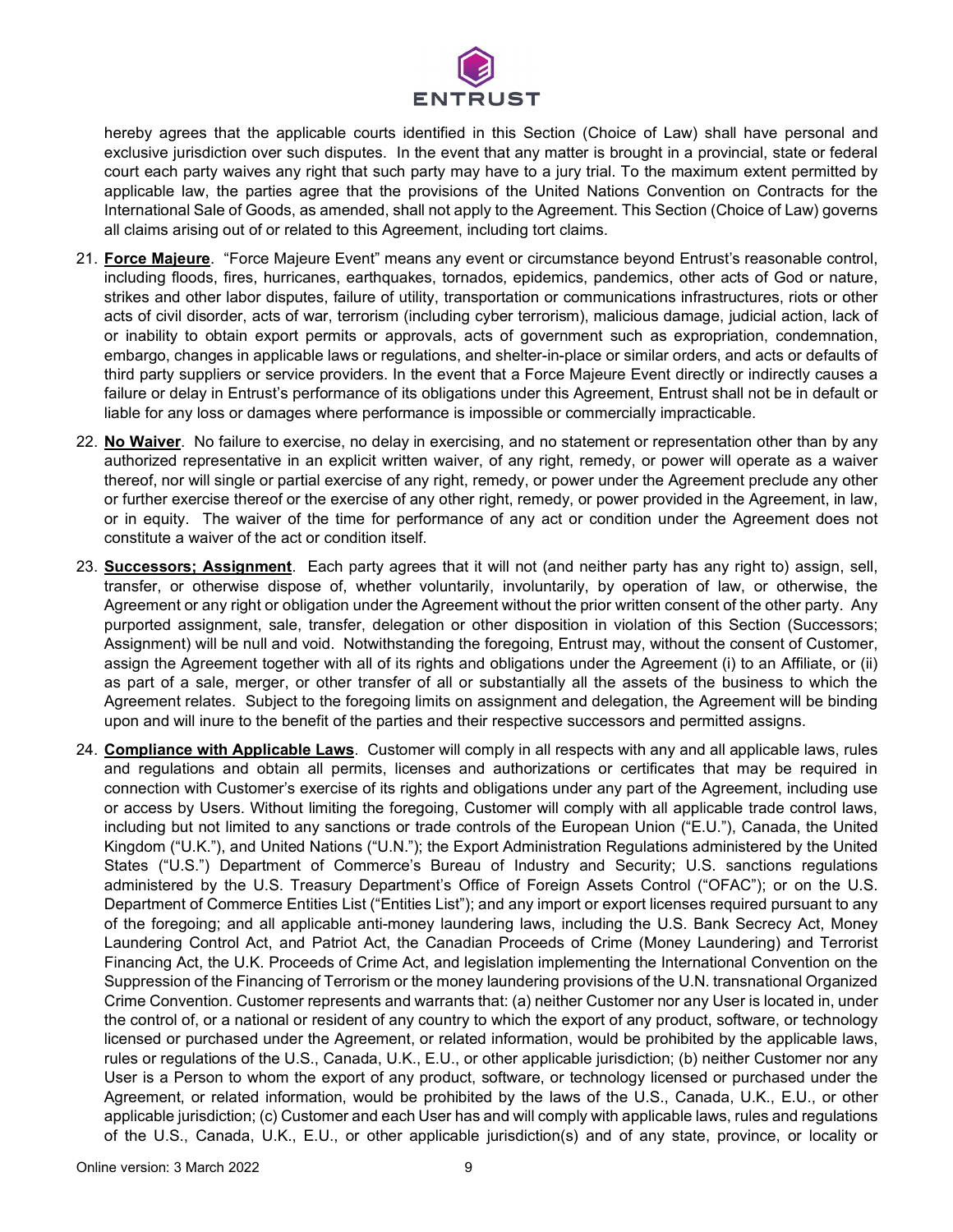

hereby agrees that the applicable courts identified in this Section (Choice of Law) shall have personal and exclusive jurisdiction over such disputes. In the event that any matter is brought in a provincial, state or federal court each party waives any right that such party may have to a jury trial. To the maximum extent permitted by applicable law, the parties agree that the provisions of the United Nations Convention on Contracts for the International Sale of Goods, as amended, shall not apply to the Agreement. This Section (Choice of Law) governs all claims arising out of or related to this Agreement, including tort claims.

- 21. **Force Majeure**. "Force Majeure Event" means any event or circumstance beyond Entrust's reasonable control, including floods, fires, hurricanes, earthquakes, tornados, epidemics, pandemics, other acts of God or nature, strikes and other labor disputes, failure of utility, transportation or communications infrastructures, riots or other acts of civil disorder, acts of war, terrorism (including cyber terrorism), malicious damage, judicial action, lack of or inability to obtain export permits or approvals, acts of government such as expropriation, condemnation, embargo, changes in applicable laws or regulations, and shelter-in-place or similar orders, and acts or defaults of third party suppliers or service providers. In the event that a Force Majeure Event directly or indirectly causes a failure or delay in Entrust's performance of its obligations under this Agreement, Entrust shall not be in default or liable for any loss or damages where performance is impossible or commercially impracticable.
- 22. **No Waiver**. No failure to exercise, no delay in exercising, and no statement or representation other than by any authorized representative in an explicit written waiver, of any right, remedy, or power will operate as a waiver thereof, nor will single or partial exercise of any right, remedy, or power under the Agreement preclude any other or further exercise thereof or the exercise of any other right, remedy, or power provided in the Agreement, in law, or in equity. The waiver of the time for performance of any act or condition under the Agreement does not constitute a waiver of the act or condition itself.
- 23. **Successors; Assignment**. Each party agrees that it will not (and neither party has any right to) assign, sell, transfer, or otherwise dispose of, whether voluntarily, involuntarily, by operation of law, or otherwise, the Agreement or any right or obligation under the Agreement without the prior written consent of the other party. Any purported assignment, sale, transfer, delegation or other disposition in violation of this Section (Successors; Assignment) will be null and void. Notwithstanding the foregoing, Entrust may, without the consent of Customer, assign the Agreement together with all of its rights and obligations under the Agreement (i) to an Affiliate, or (ii) as part of a sale, merger, or other transfer of all or substantially all the assets of the business to which the Agreement relates. Subject to the foregoing limits on assignment and delegation, the Agreement will be binding upon and will inure to the benefit of the parties and their respective successors and permitted assigns.
- 24. **Compliance with Applicable Laws**. Customer will comply in all respects with any and all applicable laws, rules and regulations and obtain all permits, licenses and authorizations or certificates that may be required in connection with Customer's exercise of its rights and obligations under any part of the Agreement, including use or access by Users. Without limiting the foregoing, Customer will comply with all applicable trade control laws, including but not limited to any sanctions or trade controls of the European Union ("E.U."), Canada, the United Kingdom ("U.K."), and United Nations ("U.N."); the Export Administration Regulations administered by the United States ("U.S.") Department of Commerce's Bureau of Industry and Security; U.S. sanctions regulations administered by the U.S. Treasury Department's Office of Foreign Assets Control ("OFAC"); or on the U.S. Department of Commerce Entities List ("Entities List"); and any import or export licenses required pursuant to any of the foregoing; and all applicable anti-money laundering laws, including the U.S. Bank Secrecy Act, Money Laundering Control Act, and Patriot Act, the Canadian Proceeds of Crime (Money Laundering) and Terrorist Financing Act, the U.K. Proceeds of Crime Act, and legislation implementing the International Convention on the Suppression of the Financing of Terrorism or the money laundering provisions of the U.N. transnational Organized Crime Convention. Customer represents and warrants that: (a) neither Customer nor any User is located in, under the control of, or a national or resident of any country to which the export of any product, software, or technology licensed or purchased under the Agreement, or related information, would be prohibited by the applicable laws, rules or regulations of the U.S., Canada, U.K., E.U., or other applicable jurisdiction; (b) neither Customer nor any User is a Person to whom the export of any product, software, or technology licensed or purchased under the Agreement, or related information, would be prohibited by the laws of the U.S., Canada, U.K., E.U., or other applicable jurisdiction; (c) Customer and each User has and will comply with applicable laws, rules and regulations of the U.S., Canada, U.K., E.U., or other applicable jurisdiction(s) and of any state, province, or locality or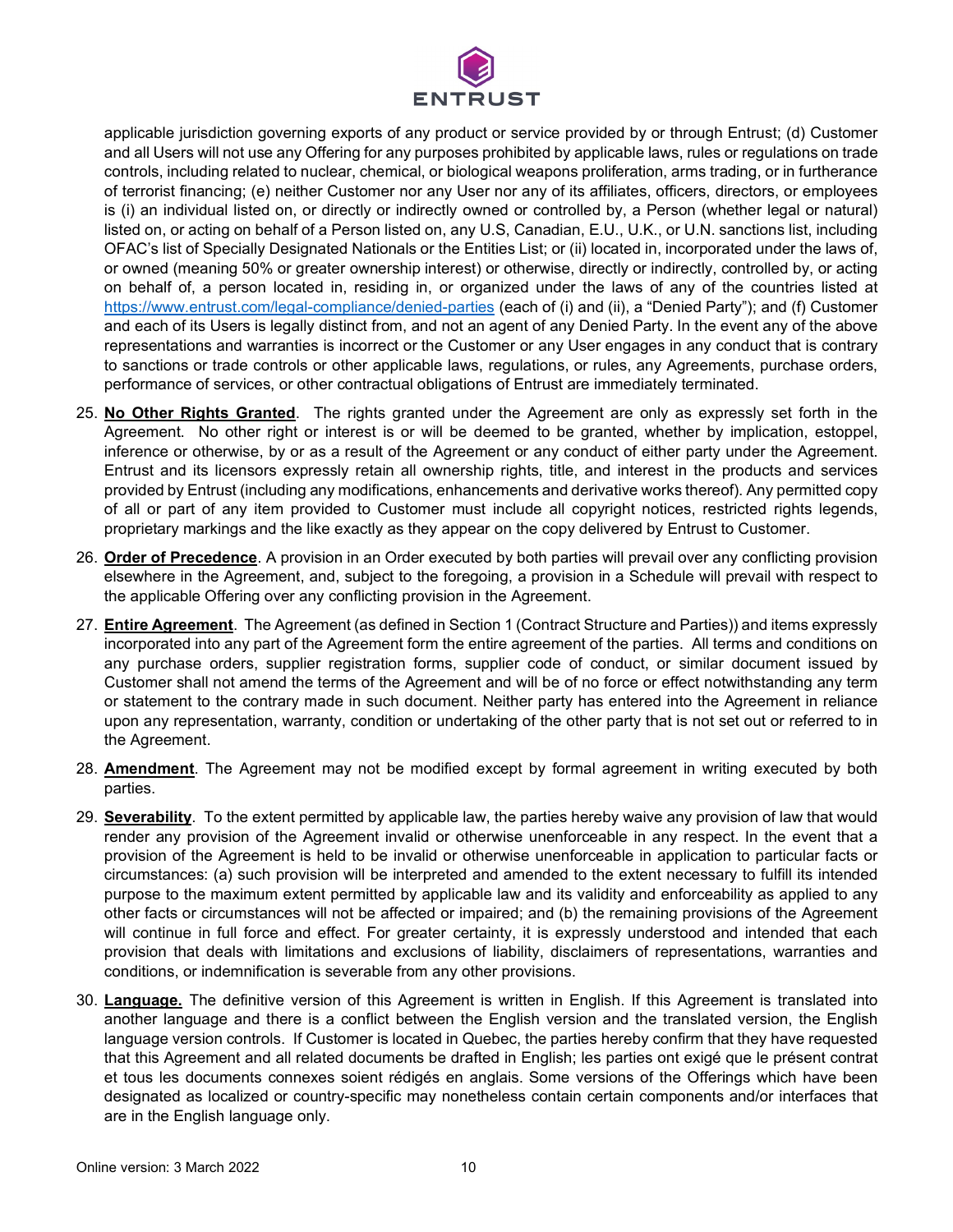

applicable jurisdiction governing exports of any product or service provided by or through Entrust; (d) Customer and all Users will not use any Offering for any purposes prohibited by applicable laws, rules or regulations on trade controls, including related to nuclear, chemical, or biological weapons proliferation, arms trading, or in furtherance of terrorist financing; (e) neither Customer nor any User nor any of its affiliates, officers, directors, or employees is (i) an individual listed on, or directly or indirectly owned or controlled by, a Person (whether legal or natural) listed on, or acting on behalf of a Person listed on, any U.S, Canadian, E.U., U.K., or U.N. sanctions list, including OFAC's list of Specially Designated Nationals or the Entities List; or (ii) located in, incorporated under the laws of, or owned (meaning 50% or greater ownership interest) or otherwise, directly or indirectly, controlled by, or acting on behalf of, a person located in, residing in, or organized under the laws of any of the countries listed at <https://www.entrust.com/legal-compliance/denied-parties> (each of (i) and (ii), a "Denied Party"); and (f) Customer and each of its Users is legally distinct from, and not an agent of any Denied Party. In the event any of the above representations and warranties is incorrect or the Customer or any User engages in any conduct that is contrary to sanctions or trade controls or other applicable laws, regulations, or rules, any Agreements, purchase orders, performance of services, or other contractual obligations of Entrust are immediately terminated.

- 25. **No Other Rights Granted**. The rights granted under the Agreement are only as expressly set forth in the Agreement. No other right or interest is or will be deemed to be granted, whether by implication, estoppel, inference or otherwise, by or as a result of the Agreement or any conduct of either party under the Agreement. Entrust and its licensors expressly retain all ownership rights, title, and interest in the products and services provided by Entrust (including any modifications, enhancements and derivative works thereof). Any permitted copy of all or part of any item provided to Customer must include all copyright notices, restricted rights legends, proprietary markings and the like exactly as they appear on the copy delivered by Entrust to Customer.
- 26. **Order of Precedence**. A provision in an Order executed by both parties will prevail over any conflicting provision elsewhere in the Agreement, and, subject to the foregoing, a provision in a Schedule will prevail with respect to the applicable Offering over any conflicting provision in the Agreement.
- 27. **Entire Agreement**. The Agreement (as defined in Section 1 (Contract Structure and Parties)) and items expressly incorporated into any part of the Agreement form the entire agreement of the parties. All terms and conditions on any purchase orders, supplier registration forms, supplier code of conduct, or similar document issued by Customer shall not amend the terms of the Agreement and will be of no force or effect notwithstanding any term or statement to the contrary made in such document. Neither party has entered into the Agreement in reliance upon any representation, warranty, condition or undertaking of the other party that is not set out or referred to in the Agreement.
- 28. **Amendment**. The Agreement may not be modified except by formal agreement in writing executed by both parties.
- 29. **Severability**. To the extent permitted by applicable law, the parties hereby waive any provision of law that would render any provision of the Agreement invalid or otherwise unenforceable in any respect. In the event that a provision of the Agreement is held to be invalid or otherwise unenforceable in application to particular facts or circumstances: (a) such provision will be interpreted and amended to the extent necessary to fulfill its intended purpose to the maximum extent permitted by applicable law and its validity and enforceability as applied to any other facts or circumstances will not be affected or impaired; and (b) the remaining provisions of the Agreement will continue in full force and effect. For greater certainty, it is expressly understood and intended that each provision that deals with limitations and exclusions of liability, disclaimers of representations, warranties and conditions, or indemnification is severable from any other provisions.
- 30. **Language.** The definitive version of this Agreement is written in English. If this Agreement is translated into another language and there is a conflict between the English version and the translated version, the English language version controls. If Customer is located in Quebec, the parties hereby confirm that they have requested that this Agreement and all related documents be drafted in English; les parties ont exigé que le présent contrat et tous les documents connexes soient rédigés en anglais. Some versions of the Offerings which have been designated as localized or country-specific may nonetheless contain certain components and/or interfaces that are in the English language only.